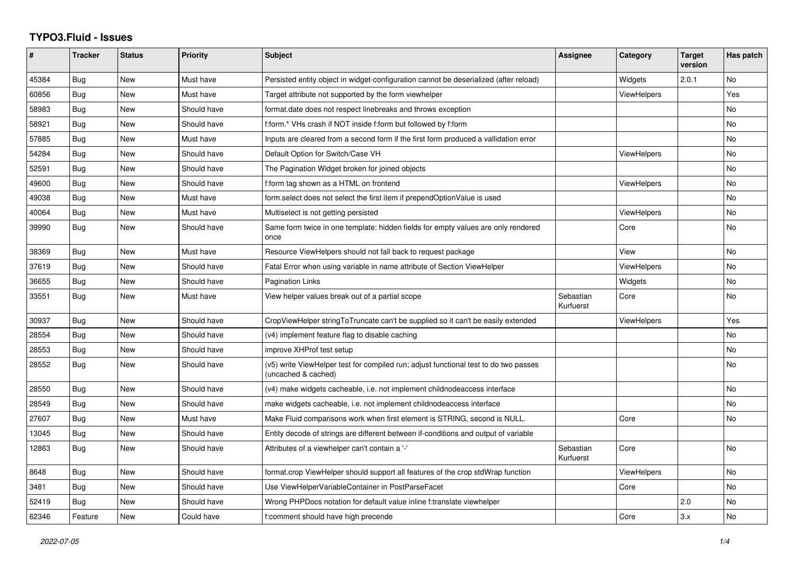## **TYPO3.Fluid - Issues**

| #     | <b>Tracker</b> | <b>Status</b> | <b>Priority</b> | Subject                                                                                                     | Assignee               | Category           | <b>Target</b><br>version | Has patch |
|-------|----------------|---------------|-----------------|-------------------------------------------------------------------------------------------------------------|------------------------|--------------------|--------------------------|-----------|
| 45384 | Bug            | <b>New</b>    | Must have       | Persisted entity object in widget-configuration cannot be deserialized (after reload)                       |                        | Widgets            | 2.0.1                    | No        |
| 60856 | Bug            | New           | Must have       | Target attribute not supported by the form viewhelper                                                       |                        | ViewHelpers        |                          | Yes       |
| 58983 | Bug            | New           | Should have     | format.date does not respect linebreaks and throws exception                                                |                        |                    |                          | No        |
| 58921 | <b>Bug</b>     | New           | Should have     | f:form.* VHs crash if NOT inside f:form but followed by f:form                                              |                        |                    |                          | No        |
| 57885 | Bug            | New           | Must have       | Inputs are cleared from a second form if the first form produced a vallidation error                        |                        |                    |                          | No        |
| 54284 | <b>Bug</b>     | New           | Should have     | Default Option for Switch/Case VH                                                                           |                        | ViewHelpers        |                          | No        |
| 52591 | Bug            | <b>New</b>    | Should have     | The Pagination Widget broken for joined objects                                                             |                        |                    |                          | No        |
| 49600 | Bug            | New           | Should have     | f:form tag shown as a HTML on frontend                                                                      |                        | ViewHelpers        |                          | No        |
| 49038 | Bug            | New           | Must have       | form select does not select the first item if prependOptionValue is used                                    |                        |                    |                          | No        |
| 40064 | <b>Bug</b>     | New           | Must have       | Multiselect is not getting persisted                                                                        |                        | <b>ViewHelpers</b> |                          | No        |
| 39990 | Bug            | <b>New</b>    | Should have     | Same form twice in one template: hidden fields for empty values are only rendered<br>once                   |                        | Core               |                          | No        |
| 38369 | Bug            | <b>New</b>    | Must have       | Resource ViewHelpers should not fall back to request package                                                |                        | View               |                          | <b>No</b> |
| 37619 | Bug            | New           | Should have     | Fatal Error when using variable in name attribute of Section ViewHelper                                     |                        | <b>ViewHelpers</b> |                          | No        |
| 36655 | <b>Bug</b>     | <b>New</b>    | Should have     | <b>Pagination Links</b>                                                                                     |                        | Widgets            |                          | No        |
| 33551 | Bug            | New           | Must have       | View helper values break out of a partial scope                                                             | Sebastian<br>Kurfuerst | Core               |                          | No.       |
| 30937 | Bug            | New           | Should have     | CropViewHelper stringToTruncate can't be supplied so it can't be easily extended                            |                        | <b>ViewHelpers</b> |                          | Yes       |
| 28554 | Bug            | New           | Should have     | (v4) implement feature flag to disable caching                                                              |                        |                    |                          | No        |
| 28553 | Bug            | <b>New</b>    | Should have     | improve XHProf test setup                                                                                   |                        |                    |                          | No        |
| 28552 | Bug            | New           | Should have     | (v5) write ViewHelper test for compiled run; adjust functional test to do two passes<br>(uncached & cached) |                        |                    |                          | No        |
| 28550 | Bug            | New           | Should have     | (v4) make widgets cacheable, i.e. not implement childnodeaccess interface                                   |                        |                    |                          | No        |
| 28549 | Bug            | New           | Should have     | make widgets cacheable, i.e. not implement childnodeaccess interface                                        |                        |                    |                          | No        |
| 27607 | Bug            | New           | Must have       | Make Fluid comparisons work when first element is STRING, second is NULL.                                   |                        | Core               |                          | No        |
| 13045 | Bug            | New           | Should have     | Entity decode of strings are different between if-conditions and output of variable                         |                        |                    |                          |           |
| 12863 | Bug            | <b>New</b>    | Should have     | Attributes of a viewhelper can't contain a '-'                                                              | Sebastian<br>Kurfuerst | Core               |                          | No.       |
| 8648  | <b>Bug</b>     | New           | Should have     | format.crop ViewHelper should support all features of the crop stdWrap function                             |                        | <b>ViewHelpers</b> |                          | No        |
| 3481  | Bug            | New           | Should have     | Use ViewHelperVariableContainer in PostParseFacet                                                           |                        | Core               |                          | No        |
| 52419 | Bug            | New           | Should have     | Wrong PHPDocs notation for default value inline f:translate viewhelper                                      |                        |                    | 2.0                      | No        |
| 62346 | Feature        | <b>New</b>    | Could have      | f:comment should have high precende                                                                         |                        | Core               | 3.x                      | No        |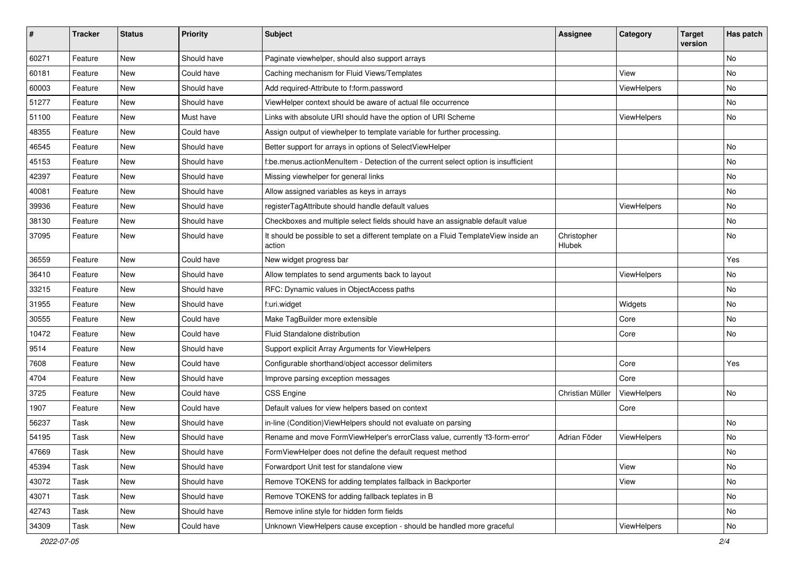| $\sharp$ | <b>Tracker</b> | <b>Status</b> | <b>Priority</b> | <b>Subject</b>                                                                                | <b>Assignee</b>       | Category    | <b>Target</b><br>version | Has patch |
|----------|----------------|---------------|-----------------|-----------------------------------------------------------------------------------------------|-----------------------|-------------|--------------------------|-----------|
| 60271    | Feature        | New           | Should have     | Paginate viewhelper, should also support arrays                                               |                       |             |                          | <b>No</b> |
| 60181    | Feature        | New           | Could have      | Caching mechanism for Fluid Views/Templates                                                   |                       | View        |                          | No        |
| 60003    | Feature        | New           | Should have     | Add required-Attribute to f:form.password                                                     |                       | ViewHelpers |                          | No        |
| 51277    | Feature        | New           | Should have     | ViewHelper context should be aware of actual file occurrence                                  |                       |             |                          | No        |
| 51100    | Feature        | New           | Must have       | Links with absolute URI should have the option of URI Scheme                                  |                       | ViewHelpers |                          | No        |
| 48355    | Feature        | New           | Could have      | Assign output of viewhelper to template variable for further processing.                      |                       |             |                          |           |
| 46545    | Feature        | New           | Should have     | Better support for arrays in options of SelectViewHelper                                      |                       |             |                          | No        |
| 45153    | Feature        | New           | Should have     | f:be.menus.actionMenuItem - Detection of the current select option is insufficient            |                       |             |                          | No        |
| 42397    | Feature        | New           | Should have     | Missing viewhelper for general links                                                          |                       |             |                          | No        |
| 40081    | Feature        | New           | Should have     | Allow assigned variables as keys in arrays                                                    |                       |             |                          | No        |
| 39936    | Feature        | New           | Should have     | registerTagAttribute should handle default values                                             |                       | ViewHelpers |                          | No        |
| 38130    | Feature        | New           | Should have     | Checkboxes and multiple select fields should have an assignable default value                 |                       |             |                          | No        |
| 37095    | Feature        | New           | Should have     | It should be possible to set a different template on a Fluid TemplateView inside an<br>action | Christopher<br>Hlubek |             |                          | No        |
| 36559    | Feature        | New           | Could have      | New widget progress bar                                                                       |                       |             |                          | Yes       |
| 36410    | Feature        | New           | Should have     | Allow templates to send arguments back to layout                                              |                       | ViewHelpers |                          | No        |
| 33215    | Feature        | New           | Should have     | RFC: Dynamic values in ObjectAccess paths                                                     |                       |             |                          | No        |
| 31955    | Feature        | New           | Should have     | f:uri.widget                                                                                  |                       | Widgets     |                          | No        |
| 30555    | Feature        | New           | Could have      | Make TagBuilder more extensible                                                               |                       | Core        |                          | No        |
| 10472    | Feature        | New           | Could have      | Fluid Standalone distribution                                                                 |                       | Core        |                          | No        |
| 9514     | Feature        | New           | Should have     | Support explicit Array Arguments for ViewHelpers                                              |                       |             |                          |           |
| 7608     | Feature        | New           | Could have      | Configurable shorthand/object accessor delimiters                                             |                       | Core        |                          | Yes       |
| 4704     | Feature        | New           | Should have     | Improve parsing exception messages                                                            |                       | Core        |                          |           |
| 3725     | Feature        | New           | Could have      | <b>CSS Engine</b>                                                                             | Christian Müller      | ViewHelpers |                          | <b>No</b> |
| 1907     | Feature        | New           | Could have      | Default values for view helpers based on context                                              |                       | Core        |                          |           |
| 56237    | Task           | New           | Should have     | in-line (Condition)ViewHelpers should not evaluate on parsing                                 |                       |             |                          | No        |
| 54195    | Task           | New           | Should have     | Rename and move FormViewHelper's errorClass value, currently 'f3-form-error'                  | Adrian Föder          | ViewHelpers |                          | No        |
| 47669    | Task           | New           | Should have     | FormViewHelper does not define the default request method                                     |                       |             |                          | No        |
| 45394    | Task           | New           | Should have     | Forwardport Unit test for standalone view                                                     |                       | View        |                          | No        |
| 43072    | Task           | New           | Should have     | Remove TOKENS for adding templates fallback in Backporter                                     |                       | View        |                          | No        |
| 43071    | Task           | New           | Should have     | Remove TOKENS for adding fallback teplates in B                                               |                       |             |                          | No        |
| 42743    | Task           | New           | Should have     | Remove inline style for hidden form fields                                                    |                       |             |                          | No        |
| 34309    | Task           | New           | Could have      | Unknown ViewHelpers cause exception - should be handled more graceful                         |                       | ViewHelpers |                          | No        |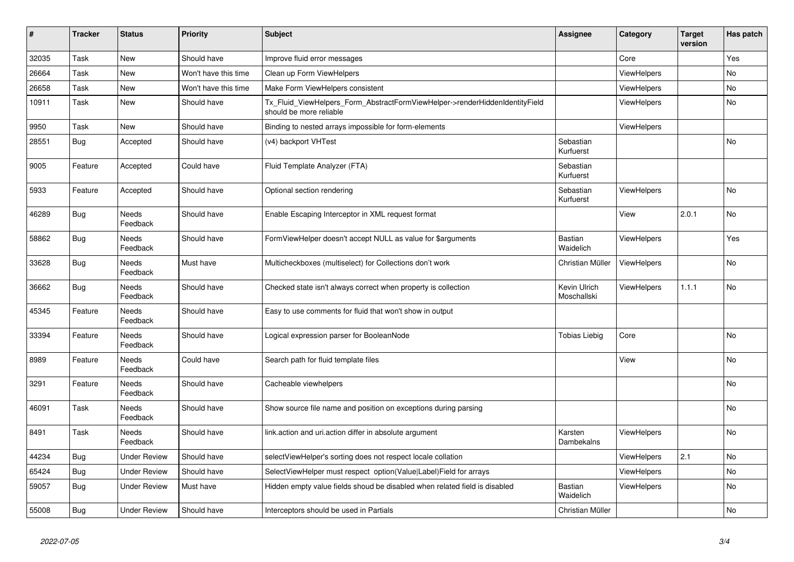| #     | <b>Tracker</b> | <b>Status</b>            | <b>Priority</b>      | <b>Subject</b>                                                                                         | <b>Assignee</b>             | Category           | <b>Target</b><br>version | Has patch      |
|-------|----------------|--------------------------|----------------------|--------------------------------------------------------------------------------------------------------|-----------------------------|--------------------|--------------------------|----------------|
| 32035 | Task           | <b>New</b>               | Should have          | Improve fluid error messages                                                                           |                             | Core               |                          | Yes            |
| 26664 | Task           | <b>New</b>               | Won't have this time | Clean up Form ViewHelpers                                                                              |                             | ViewHelpers        |                          | No.            |
| 26658 | Task           | New                      | Won't have this time | Make Form ViewHelpers consistent                                                                       |                             | <b>ViewHelpers</b> |                          | No             |
| 10911 | Task           | New                      | Should have          | Tx_Fluid_ViewHelpers_Form_AbstractFormViewHelper->renderHiddenIdentityField<br>should be more reliable |                             | <b>ViewHelpers</b> |                          | No             |
| 9950  | Task           | <b>New</b>               | Should have          | Binding to nested arrays impossible for form-elements                                                  |                             | <b>ViewHelpers</b> |                          |                |
| 28551 | Bug            | Accepted                 | Should have          | (v4) backport VHTest                                                                                   | Sebastian<br>Kurfuerst      |                    |                          | <b>No</b>      |
| 9005  | Feature        | Accepted                 | Could have           | Fluid Template Analyzer (FTA)                                                                          | Sebastian<br>Kurfuerst      |                    |                          |                |
| 5933  | Feature        | Accepted                 | Should have          | Optional section rendering                                                                             | Sebastian<br>Kurfuerst      | <b>ViewHelpers</b> |                          | No             |
| 46289 | Bug            | Needs<br>Feedback        | Should have          | Enable Escaping Interceptor in XML request format                                                      |                             | View               | 2.0.1                    | No             |
| 58862 | <b>Bug</b>     | <b>Needs</b><br>Feedback | Should have          | FormViewHelper doesn't accept NULL as value for \$arguments                                            | Bastian<br>Waidelich        | <b>ViewHelpers</b> |                          | Yes            |
| 33628 | <b>Bug</b>     | Needs<br>Feedback        | Must have            | Multicheckboxes (multiselect) for Collections don't work                                               | Christian Müller            | <b>ViewHelpers</b> |                          | N <sub>o</sub> |
| 36662 | Bug            | <b>Needs</b><br>Feedback | Should have          | Checked state isn't always correct when property is collection                                         | Kevin Ulrich<br>Moschallski | <b>ViewHelpers</b> | 1.1.1                    | No             |
| 45345 | Feature        | Needs<br>Feedback        | Should have          | Easy to use comments for fluid that won't show in output                                               |                             |                    |                          |                |
| 33394 | Feature        | Needs<br>Feedback        | Should have          | Logical expression parser for BooleanNode                                                              | <b>Tobias Liebig</b>        | Core               |                          | <b>No</b>      |
| 8989  | Feature        | <b>Needs</b><br>Feedback | Could have           | Search path for fluid template files                                                                   |                             | View               |                          | No             |
| 3291  | Feature        | Needs<br>Feedback        | Should have          | Cacheable viewhelpers                                                                                  |                             |                    |                          | No             |
| 46091 | Task           | Needs<br>Feedback        | Should have          | Show source file name and position on exceptions during parsing                                        |                             |                    |                          | No             |
| 8491  | Task           | Needs<br>Feedback        | Should have          | link.action and uri.action differ in absolute argument                                                 | Karsten<br>Dambekalns       | <b>ViewHelpers</b> |                          | No             |
| 44234 | Bug            | <b>Under Review</b>      | Should have          | selectViewHelper's sorting does not respect locale collation                                           |                             | <b>ViewHelpers</b> | 2.1                      | No             |
| 65424 | <b>Bug</b>     | <b>Under Review</b>      | Should have          | SelectViewHelper must respect option(Value Label)Field for arrays                                      |                             | <b>ViewHelpers</b> |                          | No             |
| 59057 | <b>Bug</b>     | <b>Under Review</b>      | Must have            | Hidden empty value fields shoud be disabled when related field is disabled                             | <b>Bastian</b><br>Waidelich | <b>ViewHelpers</b> |                          | No             |
| 55008 | Bug            | <b>Under Review</b>      | Should have          | Interceptors should be used in Partials                                                                | Christian Müller            |                    |                          | No             |